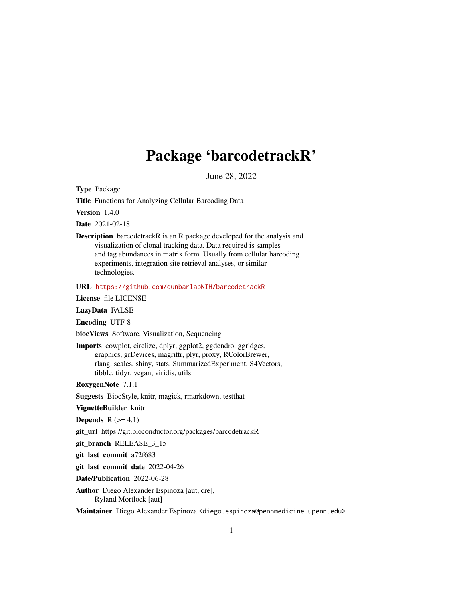## Package 'barcodetrackR'

June 28, 2022

Type Package

Title Functions for Analyzing Cellular Barcoding Data

Version 1.4.0

Date 2021-02-18

Description barcodetrackR is an R package developed for the analysis and visualization of clonal tracking data. Data required is samples and tag abundances in matrix form. Usually from cellular barcoding experiments, integration site retrieval analyses, or similar technologies.

URL <https://github.com/dunbarlabNIH/barcodetrackR>

License file LICENSE

LazyData FALSE

Encoding UTF-8

biocViews Software, Visualization, Sequencing

Imports cowplot, circlize, dplyr, ggplot2, ggdendro, ggridges, graphics, grDevices, magrittr, plyr, proxy, RColorBrewer, rlang, scales, shiny, stats, SummarizedExperiment, S4Vectors, tibble, tidyr, vegan, viridis, utils

RoxygenNote 7.1.1

Suggests BiocStyle, knitr, magick, rmarkdown, testthat

VignetteBuilder knitr

**Depends**  $R$  ( $>= 4.1$ )

git\_url https://git.bioconductor.org/packages/barcodetrackR

git\_branch RELEASE\_3\_15

git\_last\_commit a72f683

git\_last\_commit\_date 2022-04-26

Date/Publication 2022-06-28

Author Diego Alexander Espinoza [aut, cre], Ryland Mortlock [aut]

Maintainer Diego Alexander Espinoza <diego.espinoza@pennmedicine.upenn.edu>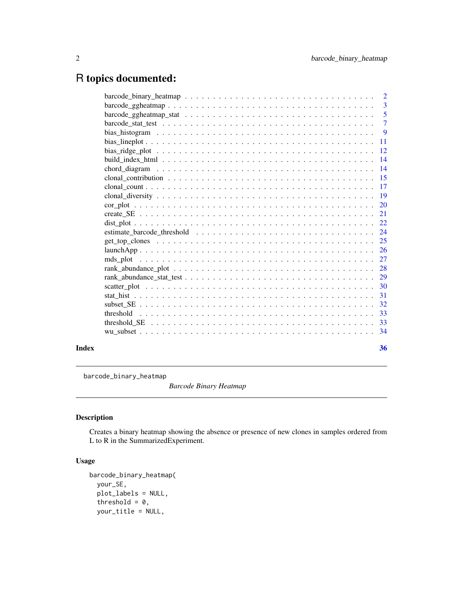## <span id="page-1-0"></span>R topics documented:

|       |     | $\overline{2}$ |
|-------|-----|----------------|
|       |     | $\overline{3}$ |
|       |     | -5             |
|       |     | $\overline{7}$ |
|       |     | -9             |
|       | -11 |                |
|       |     |                |
|       | 14  |                |
|       | 14  |                |
|       |     |                |
|       | -17 |                |
|       |     |                |
|       |     |                |
|       |     |                |
|       |     |                |
|       |     |                |
|       |     |                |
|       |     |                |
|       |     |                |
|       |     |                |
|       | 29  |                |
|       | -30 |                |
|       | -31 |                |
|       |     |                |
|       |     |                |
|       |     |                |
|       |     |                |
| Index |     | 36             |

barcode\_binary\_heatmap

*Barcode Binary Heatmap*

### Description

Creates a binary heatmap showing the absence or presence of new clones in samples ordered from L to R in the SummarizedExperiment.

```
barcode_binary_heatmap(
 your_SE,
 plot_labels = NULL,
 threshold = 0,
 your_title = NULL,
```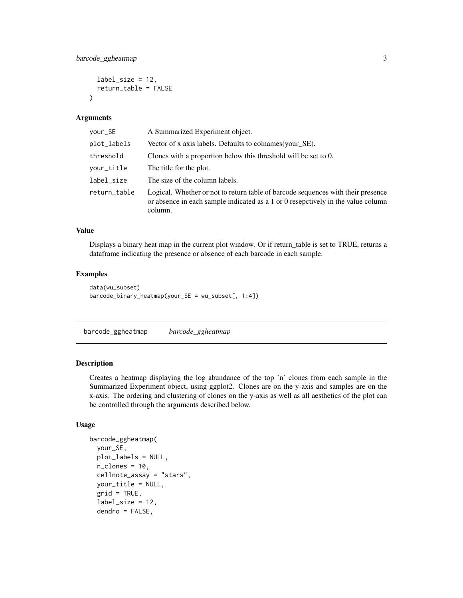```
label_size = 12,
  return_table = FALSE
\lambda
```

| your_SE      | A Summarized Experiment object.                                                                                                                                                 |
|--------------|---------------------------------------------------------------------------------------------------------------------------------------------------------------------------------|
| plot_labels  | Vector of x axis labels. Defaults to colnames (your_SE).                                                                                                                        |
| threshold    | Clones with a proportion below this threshold will be set to 0.                                                                                                                 |
| your_title   | The title for the plot.                                                                                                                                                         |
| label_size   | The size of the column labels.                                                                                                                                                  |
| return_table | Logical. Whether or not to return table of barcode sequences with their presence<br>or absence in each sample indicated as a 1 or 0 resepctively in the value column<br>column. |

### Value

Displays a binary heat map in the current plot window. Or if return\_table is set to TRUE, returns a dataframe indicating the presence or absence of each barcode in each sample.

### Examples

```
data(wu_subset)
barcode_binary_heatmap(your_SE = wu_subset[, 1:4])
```
barcode\_ggheatmap *barcode\_ggheatmap*

### Description

Creates a heatmap displaying the log abundance of the top 'n' clones from each sample in the Summarized Experiment object, using ggplot2. Clones are on the y-axis and samples are on the x-axis. The ordering and clustering of clones on the y-axis as well as all aesthetics of the plot can be controlled through the arguments described below.

```
barcode_ggheatmap(
  your_SE,
 plot_labels = NULL,
  n<sup></sup>- clones = 10,
  cellnote_assay = "stars",
  your_title = NULL,
  grid = TRUE,label_size = 12,
  dendro = FALSE,
```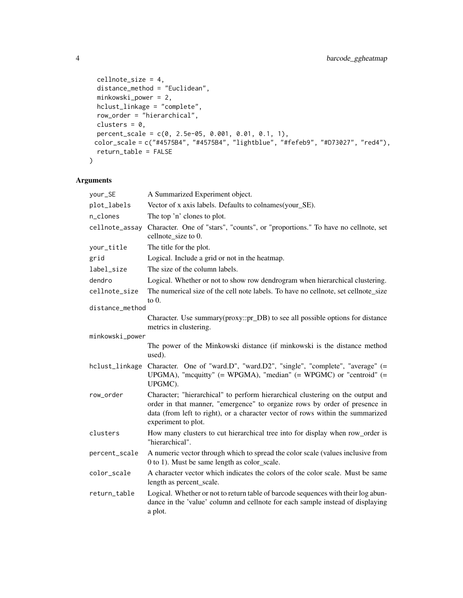```
cellnote_size = 4,
 distance_method = "Euclidean",
 minkowski_power = 2,
 hclust_linkage = "complete",
 row_order = "hierarchical",
 clusters = 0,percent_scale = c(0, 2.5e-05, 0.001, 0.01, 0.1, 1),
 color_scale = c("#4575B4", "#4575B4", "lightblue", "#fefeb9", "#D73027", "red4"),
 return_table = FALSE
\mathcal{L}
```

| your_SE         | A Summarized Experiment object.                                                                                                                                                                                                                                       |
|-----------------|-----------------------------------------------------------------------------------------------------------------------------------------------------------------------------------------------------------------------------------------------------------------------|
| plot_labels     | Vector of x axis labels. Defaults to colnames(your_SE).                                                                                                                                                                                                               |
| n_clones        | The top 'n' clones to plot.                                                                                                                                                                                                                                           |
| cellnote_assay  | Character. One of "stars", "counts", or "proportions." To have no cellnote, set<br>cellnote_size to 0.                                                                                                                                                                |
| your_title      | The title for the plot.                                                                                                                                                                                                                                               |
| grid            | Logical. Include a grid or not in the heatmap.                                                                                                                                                                                                                        |
| label_size      | The size of the column labels.                                                                                                                                                                                                                                        |
| dendro          | Logical. Whether or not to show row dendrogram when hierarchical clustering.                                                                                                                                                                                          |
| cellnote_size   | The numerical size of the cell note labels. To have no cellnote, set cellnote_size<br>to $0$ .                                                                                                                                                                        |
| distance_method |                                                                                                                                                                                                                                                                       |
|                 | Character. Use summary(proxy::pr_DB) to see all possible options for distance<br>metrics in clustering.                                                                                                                                                               |
| minkowski_power |                                                                                                                                                                                                                                                                       |
|                 | The power of the Minkowski distance (if minkowski is the distance method<br>used).                                                                                                                                                                                    |
| hclust_linkage  | Character. One of "ward.D", "ward.D2", "single", "complete", "average" (=<br>UPGMA), "mcquitty" (= WPGMA), "median" (= WPGMC) or "centroid" (=<br>UPGMC).                                                                                                             |
| row_order       | Character; "hierarchical" to perform hierarchical clustering on the output and<br>order in that manner, "emergence" to organize rows by order of presence in<br>data (from left to right), or a character vector of rows within the summarized<br>experiment to plot. |
| clusters        | How many clusters to cut hierarchical tree into for display when row_order is<br>"hierarchical".                                                                                                                                                                      |
| percent_scale   | A numeric vector through which to spread the color scale (values inclusive from<br>0 to 1). Must be same length as color_scale.                                                                                                                                       |
| color_scale     | A character vector which indicates the colors of the color scale. Must be same<br>length as percent_scale.                                                                                                                                                            |
| return_table    | Logical. Whether or not to return table of barcode sequences with their log abun-<br>dance in the 'value' column and cellnote for each sample instead of displaying<br>a plot.                                                                                        |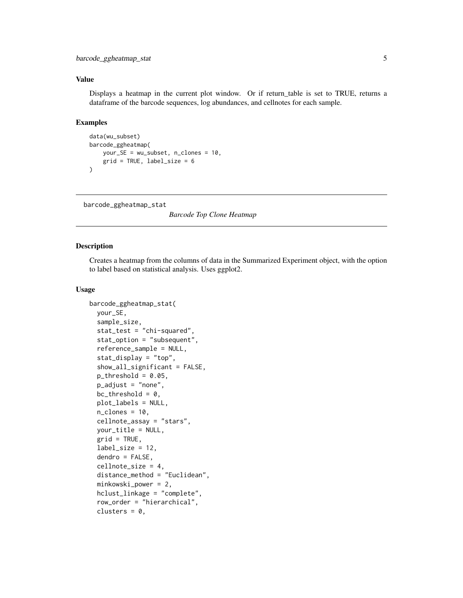<span id="page-4-0"></span>Displays a heatmap in the current plot window. Or if return\_table is set to TRUE, returns a dataframe of the barcode sequences, log abundances, and cellnotes for each sample.

### Examples

```
data(wu_subset)
barcode_ggheatmap(
    your_SE = wu_subset, n_clones = 10,
    grid = TRUE, label_size = 6
\mathcal{L}
```
barcode\_ggheatmap\_stat

*Barcode Top Clone Heatmap*

### Description

Creates a heatmap from the columns of data in the Summarized Experiment object, with the option to label based on statistical analysis. Uses ggplot2.

```
barcode_ggheatmap_stat(
  your_SE,
  sample_size,
  stat_test = "chi-squared",
  stat_option = "subsequent",
  reference_sample = NULL,
  stat_display = "top",
  show_all_significant = FALSE,
  p_{\text{threshold}} = 0.05,
  p_adjust = "none",
  bc_{th}reshold = 0,
  plot_labels = NULL,
  n<sup>-</sup>clones = 10,
  cellnote_assay = "stars",
  your_title = NULL,
  grid = TRUE,label\_size = 12,dendro = FALSE,
  cellnote_size = 4,
  distance_method = "Euclidean",
  minkowski_power = 2,
  hclust_linkage = "complete",
  row_order = "hierarchical",
  clusters = 0,
```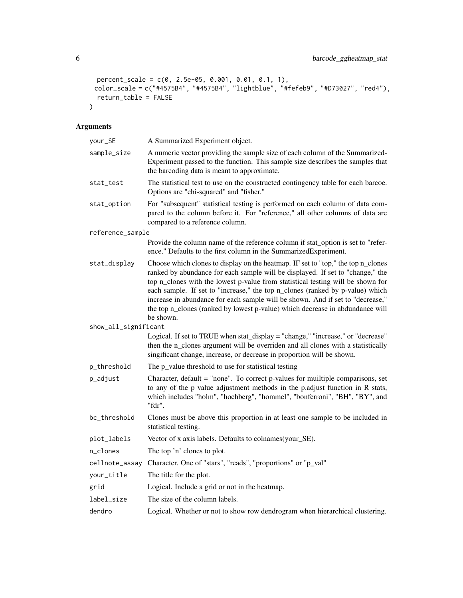```
percent_scale = c(0, 2.5e-05, 0.001, 0.01, 0.1, 1),
  color_scale = c("#4575B4", "#4575B4", "lightblue", "#fefeb9", "#D73027", "red4"),
 return_table = FALSE
\lambda
```

| your_SE              | A Summarized Experiment object.                                                                                                                                                                                                                                                                                                                                                                                                                                                                                        |
|----------------------|------------------------------------------------------------------------------------------------------------------------------------------------------------------------------------------------------------------------------------------------------------------------------------------------------------------------------------------------------------------------------------------------------------------------------------------------------------------------------------------------------------------------|
| sample_size          | A numeric vector providing the sample size of each column of the Summarized-<br>Experiment passed to the function. This sample size describes the samples that<br>the barcoding data is meant to approximate.                                                                                                                                                                                                                                                                                                          |
| stat_test            | The statistical test to use on the constructed contingency table for each barcoe.<br>Options are "chi-squared" and "fisher."                                                                                                                                                                                                                                                                                                                                                                                           |
| stat_option          | For "subsequent" statistical testing is performed on each column of data com-<br>pared to the column before it. For "reference," all other columns of data are<br>compared to a reference column.                                                                                                                                                                                                                                                                                                                      |
| reference_sample     |                                                                                                                                                                                                                                                                                                                                                                                                                                                                                                                        |
|                      | Provide the column name of the reference column if stat_option is set to "refer-<br>ence." Defaults to the first column in the SummarizedExperiment.                                                                                                                                                                                                                                                                                                                                                                   |
| stat_display         | Choose which clones to display on the heatmap. IF set to "top," the top n_clones<br>ranked by abundance for each sample will be displayed. If set to "change," the<br>top n_clones with the lowest p-value from statistical testing will be shown for<br>each sample. If set to "increase," the top n_clones (ranked by p-value) which<br>increase in abundance for each sample will be shown. And if set to "decrease,"<br>the top n_clones (ranked by lowest p-value) which decrease in abdundance will<br>be shown. |
| show_all_significant |                                                                                                                                                                                                                                                                                                                                                                                                                                                                                                                        |
|                      | Logical. If set to TRUE when stat_display = "change," "increase," or "decrease"<br>then the n_clones argument will be overriden and all clones with a statistically<br>singificant change, increase, or decrease in proportion will be shown.                                                                                                                                                                                                                                                                          |
| p_threshold          | The p_value threshold to use for statistical testing                                                                                                                                                                                                                                                                                                                                                                                                                                                                   |
| p_adjust             | Character, default = "none". To correct p-values for muiltiple comparisons, set<br>to any of the p value adjustment methods in the p.adjust function in R stats,<br>which includes "holm", "hochberg", "hommel", "bonferroni", "BH", "BY", and<br>"fdr".                                                                                                                                                                                                                                                               |
| bc_threshold         | Clones must be above this proportion in at least one sample to be included in<br>statistical testing.                                                                                                                                                                                                                                                                                                                                                                                                                  |
| plot_labels          | Vector of x axis labels. Defaults to colnames(your_SE).                                                                                                                                                                                                                                                                                                                                                                                                                                                                |
| n_clones             | The top 'n' clones to plot.                                                                                                                                                                                                                                                                                                                                                                                                                                                                                            |
| cellnote_assay       | Character. One of "stars", "reads", "proportions" or "p_val"                                                                                                                                                                                                                                                                                                                                                                                                                                                           |
| your_title           | The title for the plot.                                                                                                                                                                                                                                                                                                                                                                                                                                                                                                |
| grid                 | Logical. Include a grid or not in the heatmap.                                                                                                                                                                                                                                                                                                                                                                                                                                                                         |
| label_size           | The size of the column labels.                                                                                                                                                                                                                                                                                                                                                                                                                                                                                         |
| dendro               | Logical. Whether or not to show row dendrogram when hierarchical clustering.                                                                                                                                                                                                                                                                                                                                                                                                                                           |
|                      |                                                                                                                                                                                                                                                                                                                                                                                                                                                                                                                        |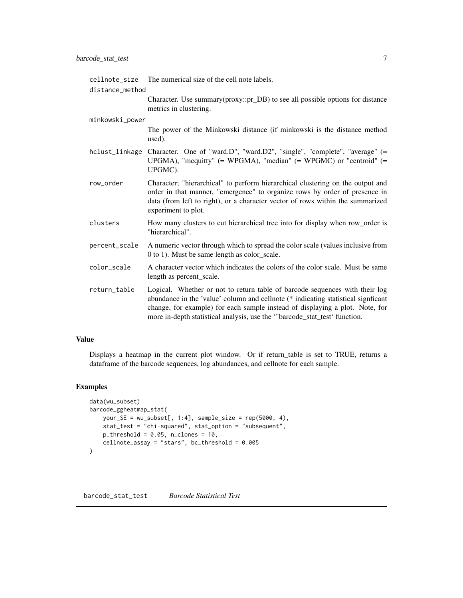<span id="page-6-0"></span>

| cellnote_size   | The numerical size of the cell note labels.                                                                                                                                                                                                                                                                                   |  |
|-----------------|-------------------------------------------------------------------------------------------------------------------------------------------------------------------------------------------------------------------------------------------------------------------------------------------------------------------------------|--|
| distance method | Character. Use summary (proxy::pr_DB) to see all possible options for distance<br>metrics in clustering.                                                                                                                                                                                                                      |  |
| minkowski_power |                                                                                                                                                                                                                                                                                                                               |  |
|                 | The power of the Minkowski distance (if minkowski is the distance method<br>used).                                                                                                                                                                                                                                            |  |
|                 | hclust_linkage Character. One of "ward.D", "ward.D2", "single", "complete", "average" (=<br>UPGMA), "mcquitty" $(= WPGMA)$ , "median" $(= WPGMC)$ or "centroid" $(=$<br>UPGMC).                                                                                                                                               |  |
| row_order       | Character; "hierarchical" to perform hierarchical clustering on the output and<br>order in that manner, "emergence" to organize rows by order of presence in<br>data (from left to right), or a character vector of rows within the summarized<br>experiment to plot.                                                         |  |
| clusters        | How many clusters to cut hierarchical tree into for display when row_order is<br>"hierarchical".                                                                                                                                                                                                                              |  |
| percent_scale   | A numeric vector through which to spread the color scale (values inclusive from<br>0 to 1). Must be same length as color_scale.                                                                                                                                                                                               |  |
| color_scale     | A character vector which indicates the colors of the color scale. Must be same<br>length as percent_scale.                                                                                                                                                                                                                    |  |
| return_table    | Logical. Whether or not to return table of barcode sequences with their log<br>abundance in the 'value' column and cellnote (* indicating statistical signficant<br>change, for example) for each sample instead of displaying a plot. Note, for<br>more in-depth statistical analysis, use the "barcode_stat_test' function. |  |

Displays a heatmap in the current plot window. Or if return\_table is set to TRUE, returns a dataframe of the barcode sequences, log abundances, and cellnote for each sample.

### Examples

```
data(wu_subset)
barcode_ggheatmap_stat(
    your_SE = wu_subset[, 1:4], sample_size = rep(5000, 4),stat_test = "chi-squared", stat_option = "subsequent",
    p_{\text{threshold}} = 0.05, n_clones = 10,
    cellnote_assay = "stars", bc_threshold = 0.005
)
```
barcode\_stat\_test *Barcode Statistical Test*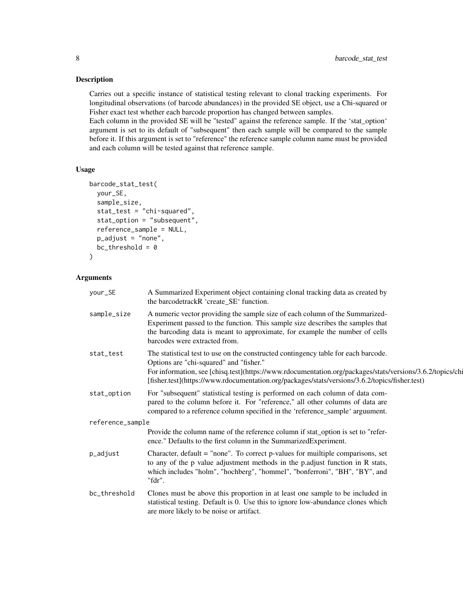### Description

Carries out a specific instance of statistical testing relevant to clonal tracking experiments. For longitudinal observations (of barcode abundances) in the provided SE object, use a Chi-squared or Fisher exact test whether each barcode proportion has changed between samples.

Each column in the provided SE will be "tested" against the reference sample. If the 'stat\_option' argument is set to its default of "subsequent" then each sample will be compared to the sample before it. If this argument is set to "reference" the reference sample column name must be provided and each column will be tested against that reference sample.

### Usage

```
barcode_stat_test(
 your_SE,
  sample_size,
  stat_test = "chi-squared",
  stat_option = "subsequent",
  reference_sample = NULL,
  p_adjust = "none",
  bc_{th}reshold = 0
)
```

| your_SE          | A Summarized Experiment object containing clonal tracking data as created by<br>the barcodetrackR 'create_SE' function.                                                                                                                                                                                                                      |  |
|------------------|----------------------------------------------------------------------------------------------------------------------------------------------------------------------------------------------------------------------------------------------------------------------------------------------------------------------------------------------|--|
| sample_size      | A numeric vector providing the sample size of each column of the Summarized-<br>Experiment passed to the function. This sample size describes the samples that<br>the barcoding data is meant to approximate, for example the number of cells<br>barcodes were extracted from.                                                               |  |
| stat_test        | The statistical test to use on the constructed contingency table for each barcode.<br>Options are "chi-squared" and "fisher."<br>For information, see [chisq.test](https://www.rdocumentation.org/packages/stats/versions/3.6.2/topics/chi<br>[fisher.test](https://www.rdocumentation.org/packages/stats/versions/3.6.2/topics/fisher.test) |  |
| stat_option      | For "subsequent" statistical testing is performed on each column of data com-<br>pared to the column before it. For "reference," all other columns of data are<br>compared to a reference column specified in the 'reference_sample' arguument.                                                                                              |  |
| reference_sample |                                                                                                                                                                                                                                                                                                                                              |  |
|                  | Provide the column name of the reference column if stat_option is set to "refer-<br>ence." Defaults to the first column in the SummarizedExperiment.                                                                                                                                                                                         |  |
| p_adjust         | Character, default = "none". To correct p-values for multiple comparisons, set<br>to any of the p value adjustment methods in the p.adjust function in R stats,<br>which includes "holm", "hochberg", "hommel", "bonferroni", "BH", "BY", and<br>"fdr".                                                                                      |  |
| bc_threshold     | Clones must be above this proportion in at least one sample to be included in<br>statistical testing. Default is 0. Use this to ignore low-abundance clones which<br>are more likely to be noise or artifact.                                                                                                                                |  |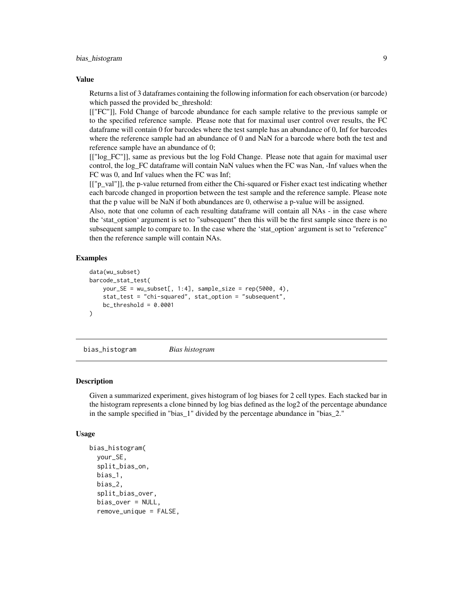<span id="page-8-0"></span>Returns a list of 3 dataframes containing the following information for each observation (or barcode) which passed the provided bc\_threshold:

[["FC"]], Fold Change of barcode abundance for each sample relative to the previous sample or to the specified reference sample. Please note that for maximal user control over results, the FC dataframe will contain 0 for barcodes where the test sample has an abundance of 0, Inf for barcodes where the reference sample had an abundance of 0 and NaN for a barcode where both the test and reference sample have an abundance of 0;

[["log\_FC"]], same as previous but the log Fold Change. Please note that again for maximal user control, the log\_FC dataframe will contain NaN values when the FC was Nan, -Inf values when the FC was 0, and Inf values when the FC was Inf;

[["p\_val"]], the p-value returned from either the Chi-squared or Fisher exact test indicating whether each barcode changed in proportion between the test sample and the reference sample. Please note that the p value will be NaN if both abundances are 0, otherwise a p-value will be assigned.

Also, note that one column of each resulting dataframe will contain all NAs - in the case where the 'stat\_option' argument is set to "subsequent" then this will be the first sample since there is no subsequent sample to compare to. In the case where the 'stat\_option' argument is set to "reference" then the reference sample will contain NAs.

### Examples

```
data(wu_subset)
barcode_stat_test(
    your_SE = wu\_subsetf, 1:4], sample_size = rep(5000, 4),
    stat_test = "chi-squared", stat_option = "subsequent",
    bc_{th}reshold = 0.0001
\lambda
```
bias\_histogram *Bias histogram*

#### Description

Given a summarized experiment, gives histogram of log biases for 2 cell types. Each stacked bar in the histogram represents a clone binned by log bias defined as the log2 of the percentage abundance in the sample specified in "bias\_1" divided by the percentage abundance in "bias\_2."

```
bias_histogram(
  your_SE,
  split_bias_on,
  bias_1,
  bias_2,
  split_bias_over,
  bias_over = NULL,
  remove_unique = FALSE,
```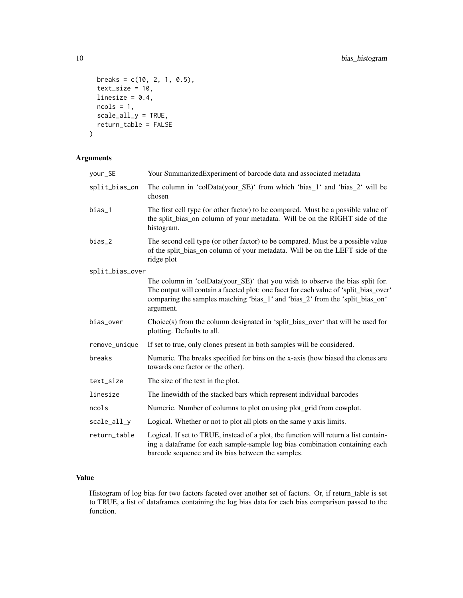```
breaks = c(10, 2, 1, 0.5),
 text_size = 10,linesize = 0.4,
 ncols = 1,
 scale_all_y = TRUE,
 return_table = FALSE
)
```

| your_SE         | Your SummarizedExperiment of barcode data and associated metadata                                                                                                                                                                                                    |
|-----------------|----------------------------------------------------------------------------------------------------------------------------------------------------------------------------------------------------------------------------------------------------------------------|
| split_bias_on   | The column in 'colData(your_SE)' from which 'bias_1' and 'bias_2' will be<br>chosen                                                                                                                                                                                  |
| bias_1          | The first cell type (or other factor) to be compared. Must be a possible value of<br>the split_bias_on column of your metadata. Will be on the RIGHT side of the<br>histogram.                                                                                       |
| bias_2          | The second cell type (or other factor) to be compared. Must be a possible value<br>of the split_bias_on column of your metadata. Will be on the LEFT side of the<br>ridge plot                                                                                       |
| split_bias_over |                                                                                                                                                                                                                                                                      |
|                 | The column in 'colData(your_SE)' that you wish to observe the bias split for.<br>The output will contain a faceted plot: one facet for each value of 'split_bias_over'<br>comparing the samples matching 'bias_1' and 'bias_2' from the 'split_bias_on'<br>argument. |
| bias_over       | Choice(s) from the column designated in 'split_bias_over' that will be used for<br>plotting. Defaults to all.                                                                                                                                                        |
| remove_unique   | If set to true, only clones present in both samples will be considered.                                                                                                                                                                                              |
| breaks          | Numeric. The breaks specified for bins on the x-axis (how biased the clones are<br>towards one factor or the other).                                                                                                                                                 |
| text_size       | The size of the text in the plot.                                                                                                                                                                                                                                    |
| linesize        | The linewidth of the stacked bars which represent individual barcodes                                                                                                                                                                                                |
| ncols           | Numeric. Number of columns to plot on using plot_grid from cowplot.                                                                                                                                                                                                  |
| scale_all_y     | Logical. Whether or not to plot all plots on the same y axis limits.                                                                                                                                                                                                 |
| return_table    | Logical. If set to TRUE, instead of a plot, the function will return a list contain-<br>ing a dataframe for each sample-sample log bias combination containing each<br>barcode sequence and its bias between the samples.                                            |

### Value

Histogram of log bias for two factors faceted over another set of factors. Or, if return\_table is set to TRUE, a list of dataframes containing the log bias data for each bias comparison passed to the function.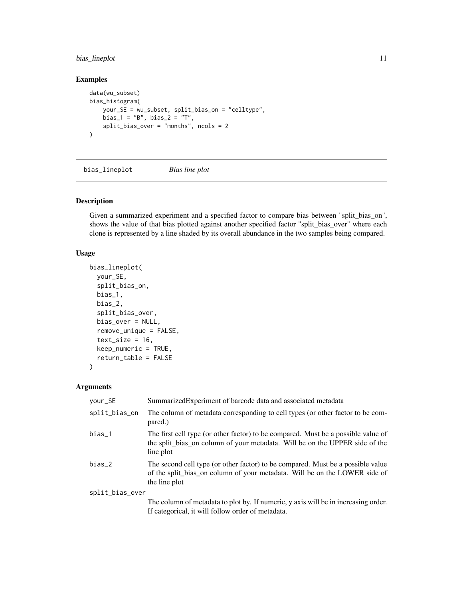### <span id="page-10-0"></span>bias\_lineplot 11

### Examples

```
data(wu_subset)
bias_histogram(
    your_SE = wu_subset, split_bias_on = "celltype",
    bias_1 = "B", bias_2 = "T",split_bias_over = "months", ncols = 2
\mathcal{L}
```
bias\_lineplot *Bias line plot*

### Description

Given a summarized experiment and a specified factor to compare bias between "split\_bias\_on", shows the value of that bias plotted against another specified factor "split\_bias\_over" where each clone is represented by a line shaded by its overall abundance in the two samples being compared.

### Usage

```
bias_lineplot(
 your_SE,
  split_bias_on,
 bias_1,
 bias_2,
  split_bias_over,
 bias_over = NULL,
  remove_unique = FALSE,
  text_size = 16,
  keep_numeric = TRUE,
  return_table = FALSE
)
```

| your_SE         | Summarized Experiment of barcode data and associated metadata                                                                                                                  |
|-----------------|--------------------------------------------------------------------------------------------------------------------------------------------------------------------------------|
| split_bias_on   | The column of metadata corresponding to cell types (or other factor to be com-<br>pared.)                                                                                      |
| $bias_1$        | The first cell type (or other factor) to be compared. Must be a possible value of<br>the split_bias_on column of your metadata. Will be on the UPPER side of the<br>line plot  |
| bias_2          | The second cell type (or other factor) to be compared. Must be a possible value<br>of the split_bias_on column of your metadata. Will be on the LOWER side of<br>the line plot |
| split_bias_over |                                                                                                                                                                                |
|                 | The column of metadata to plot by. If numeric, y axis will be in increasing order.<br>If categorical, it will follow order of metadata.                                        |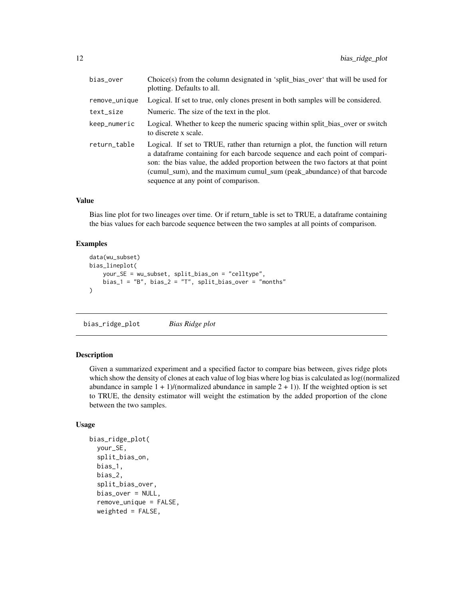<span id="page-11-0"></span>

| bias_over     | Choice(s) from the column designated in 'split_bias_over' that will be used for<br>plotting. Defaults to all.                                                                                                                                                                                                                                                         |
|---------------|-----------------------------------------------------------------------------------------------------------------------------------------------------------------------------------------------------------------------------------------------------------------------------------------------------------------------------------------------------------------------|
| remove_unique | Logical. If set to true, only clones present in both samples will be considered.                                                                                                                                                                                                                                                                                      |
| text_size     | Numeric. The size of the text in the plot.                                                                                                                                                                                                                                                                                                                            |
| keep_numeric  | Logical. Whether to keep the numeric spacing within split_bias_over or switch<br>to discrete x scale.                                                                                                                                                                                                                                                                 |
| return_table  | Logical. If set to TRUE, rather than returnign a plot, the function will return<br>a data frame containing for each barcode sequence and each point of compari-<br>son: the bias value, the added proportion between the two factors at that point<br>(cumul_sum), and the maximum cumul_sum (peak_abundance) of that barcode<br>sequence at any point of comparison. |

Bias line plot for two lineages over time. Or if return\_table is set to TRUE, a dataframe containing the bias values for each barcode sequence between the two samples at all points of comparison.

#### Examples

```
data(wu_subset)
bias_lineplot(
   your_SE = wu_subset, split_bias_on = "celltype",
   bias_1 = "B", bias_2 = "T", split\_bias_over = "months")
```
bias\_ridge\_plot *Bias Ridge plot*

#### Description

Given a summarized experiment and a specified factor to compare bias between, gives ridge plots which show the density of clones at each value of log bias where log bias is calculated as log((normalized abundance in sample  $1 + 1$ /(normalized abundance in sample  $2 + 1$ )). If the weighted option is set to TRUE, the density estimator will weight the estimation by the added proportion of the clone between the two samples.

```
bias_ridge_plot(
  your_SE,
  split_bias_on,
  bias_1,
  bias_2,
  split_bias_over,
  bias_over = NULL,
  remove_unique = FALSE,
  weighted = FALSE,
```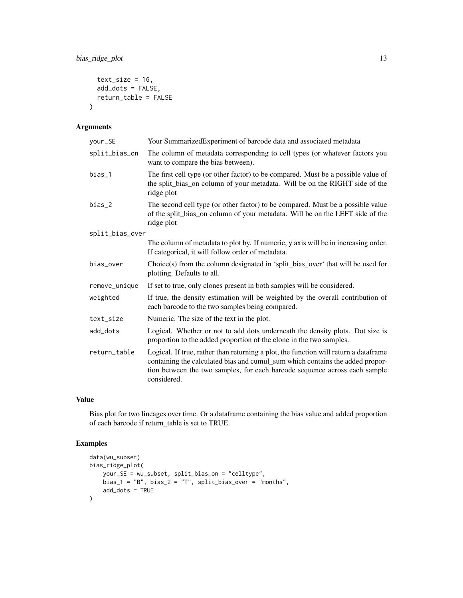```
text\_size = 16,
  add_dots = FALSE,
  return_table = FALSE
\mathcal{L}
```

| your_SE         | Your SummarizedExperiment of barcode data and associated metadata                                                                                                                                                                                                  |
|-----------------|--------------------------------------------------------------------------------------------------------------------------------------------------------------------------------------------------------------------------------------------------------------------|
| split_bias_on   | The column of metadata corresponding to cell types (or whatever factors you<br>want to compare the bias between).                                                                                                                                                  |
| $bias_1$        | The first cell type (or other factor) to be compared. Must be a possible value of<br>the split_bias_on column of your metadata. Will be on the RIGHT side of the<br>ridge plot                                                                                     |
| $bias_2$        | The second cell type (or other factor) to be compared. Must be a possible value<br>of the split_bias_on column of your metadata. Will be on the LEFT side of the<br>ridge plot                                                                                     |
| split_bias_over |                                                                                                                                                                                                                                                                    |
|                 | The column of metadata to plot by. If numeric, y axis will be in increasing order.<br>If categorical, it will follow order of metadata.                                                                                                                            |
| bias_over       | Choice(s) from the column designated in 'split_bias_over' that will be used for<br>plotting. Defaults to all.                                                                                                                                                      |
| remove_unique   | If set to true, only clones present in both samples will be considered.                                                                                                                                                                                            |
| weighted        | If true, the density estimation will be weighted by the overall contribution of<br>each barcode to the two samples being compared.                                                                                                                                 |
| text_size       | Numeric. The size of the text in the plot.                                                                                                                                                                                                                         |
| add_dots        | Logical. Whether or not to add dots underneath the density plots. Dot size is<br>proportion to the added proportion of the clone in the two samples.                                                                                                               |
| return_table    | Logical. If true, rather than returning a plot, the function will return a dataframe<br>containing the calculated bias and cumul_sum which contains the added propor-<br>tion between the two samples, for each barcode sequence across each sample<br>considered. |

### Value

Bias plot for two lineages over time. Or a dataframe containing the bias value and added proportion of each barcode if return\_table is set to TRUE.

### Examples

```
data(wu_subset)
bias_ridge_plot(
    your_SE = wu_subset, split_bias_on = "celltype",
   bias_1 = "B", bias_2 = "T", split_bias_over = "months",
    add_dots = TRUE
\mathcal{L}
```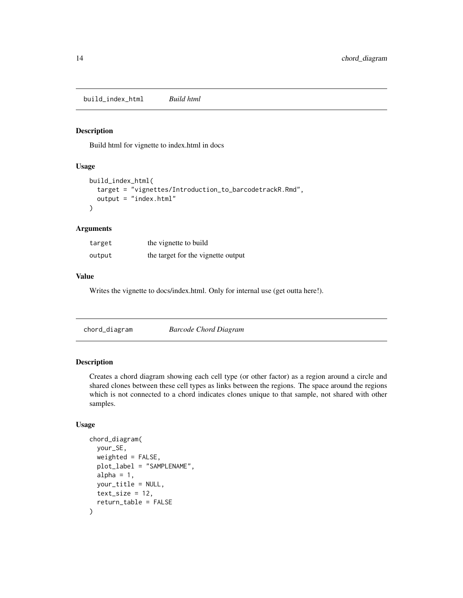<span id="page-13-0"></span>build\_index\_html *Build html*

#### Description

Build html for vignette to index.html in docs

### Usage

```
build_index_html(
  target = "vignettes/Introduction_to_barcodetrackR.Rmd",
  output = "index.html"
\mathcal{E}
```
### Arguments

| target | the vignette to build              |
|--------|------------------------------------|
| output | the target for the vignette output |

### Value

Writes the vignette to docs/index.html. Only for internal use (get outta here!).

|--|

### Description

Creates a chord diagram showing each cell type (or other factor) as a region around a circle and shared clones between these cell types as links between the regions. The space around the regions which is not connected to a chord indicates clones unique to that sample, not shared with other samples.

```
chord_diagram(
 your_SE,
  weighted = FALSE,
  plot_label = "SAMPLENAME",
  alpha = 1,
 your_title = NULL,
  text_size = 12,return_table = FALSE
)
```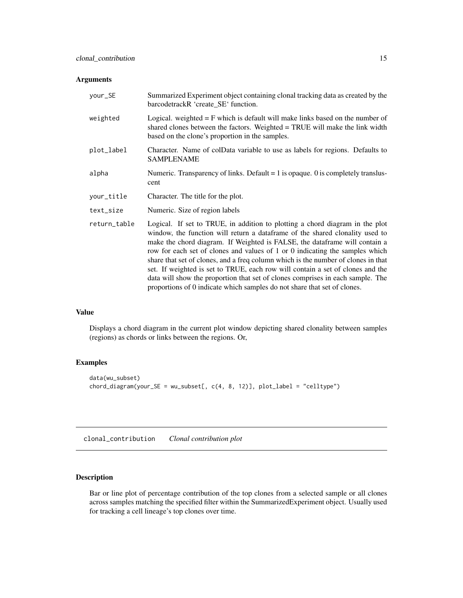<span id="page-14-0"></span>

| your_SE      | Summarized Experiment object containing clonal tracking data as created by the<br>barcodetrackR 'create_SE' function.                                                                                                                                                                                                                                                                                                                                                                                                                                                                                                                                            |
|--------------|------------------------------------------------------------------------------------------------------------------------------------------------------------------------------------------------------------------------------------------------------------------------------------------------------------------------------------------------------------------------------------------------------------------------------------------------------------------------------------------------------------------------------------------------------------------------------------------------------------------------------------------------------------------|
| weighted     | Logical. weighted $=$ F which is default will make links based on the number of<br>shared clones between the factors. Weighted = TRUE will make the link width<br>based on the clone's proportion in the samples.                                                                                                                                                                                                                                                                                                                                                                                                                                                |
| plot_label   | Character. Name of colData variable to use as labels for regions. Defaults to<br><b>SAMPLENAME</b>                                                                                                                                                                                                                                                                                                                                                                                                                                                                                                                                                               |
| alpha        | Numeric. Transparency of links. Default $= 1$ is opaque. 0 is completely translus-<br>cent                                                                                                                                                                                                                                                                                                                                                                                                                                                                                                                                                                       |
| your_title   | Character. The title for the plot.                                                                                                                                                                                                                                                                                                                                                                                                                                                                                                                                                                                                                               |
| text_size    | Numeric. Size of region labels                                                                                                                                                                                                                                                                                                                                                                                                                                                                                                                                                                                                                                   |
| return_table | Logical. If set to TRUE, in addition to plotting a chord diagram in the plot<br>window, the function will return a dataframe of the shared clonality used to<br>make the chord diagram. If Weighted is FALSE, the data frame will contain a<br>row for each set of clones and values of 1 or 0 indicating the samples which<br>share that set of clones, and a freq column which is the number of clones in that<br>set. If weighted is set to TRUE, each row will contain a set of clones and the<br>data will show the proportion that set of clones comprises in each sample. The<br>proportions of 0 indicate which samples do not share that set of clones. |

### Value

Displays a chord diagram in the current plot window depicting shared clonality between samples (regions) as chords or links between the regions. Or,

### Examples

```
data(wu_subset)
chord\_diagram(your\_SE = wu\_subsetE, c(4, 8, 12)], plot\_label = "celltype")
```
clonal\_contribution *Clonal contribution plot*

### Description

Bar or line plot of percentage contribution of the top clones from a selected sample or all clones across samples matching the specified filter within the SummarizedExperiment object. Usually used for tracking a cell lineage's top clones over time.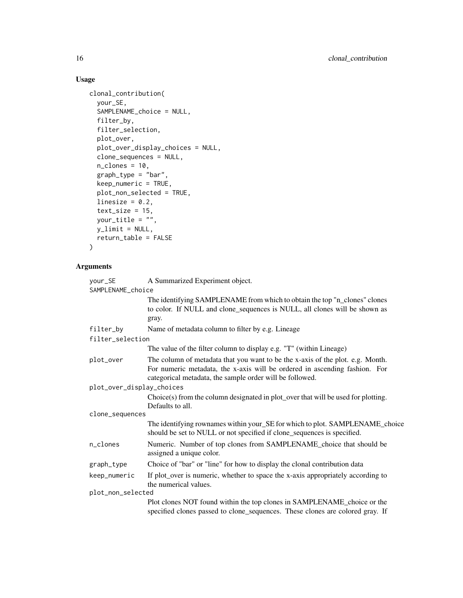### Usage

```
clonal_contribution(
 your_SE,
  SAMPLENAME_choice = NULL,
  filter_by,
  filter_selection,
 plot_over,
 plot_over_display_choices = NULL,
  clone_sequences = NULL,
 n<sup>-</sup>clones = 10,
 graph_type = "bar",
 keep_numeric = TRUE,
 plot_non_selected = TRUE,
 linesize = 0.2,
  text\_size = 15,
 your_title = "",
 y<sup>-</sup>limit = NULL,
 return_table = FALSE
)
```

| your_SE                   | A Summarized Experiment object.                                                                                                                                                                                          |  |
|---------------------------|--------------------------------------------------------------------------------------------------------------------------------------------------------------------------------------------------------------------------|--|
| SAMPLENAME_choice         |                                                                                                                                                                                                                          |  |
|                           | The identifying SAMPLENAME from which to obtain the top "n_clones" clones<br>to color. If NULL and clone_sequences is NULL, all clones will be shown as<br>gray.                                                         |  |
| filter_by                 | Name of metadata column to filter by e.g. Lineage                                                                                                                                                                        |  |
| filter_selection          |                                                                                                                                                                                                                          |  |
|                           | The value of the filter column to display e.g. "T" (within Lineage)                                                                                                                                                      |  |
| plot_over                 | The column of metadata that you want to be the x-axis of the plot. e.g. Month.<br>For numeric metadata, the x-axis will be ordered in ascending fashion. For<br>categorical metadata, the sample order will be followed. |  |
| plot_over_display_choices |                                                                                                                                                                                                                          |  |
|                           | Choice(s) from the column designated in plot_over that will be used for plotting.<br>Defaults to all.                                                                                                                    |  |
| clone_sequences           |                                                                                                                                                                                                                          |  |
|                           | The identifying rownames within your_SE for which to plot. SAMPLENAME_choice<br>should be set to NULL or not specified if clone_sequences is specified.                                                                  |  |
| n_clones                  | Numeric. Number of top clones from SAMPLENAME_choice that should be<br>assigned a unique color.                                                                                                                          |  |
| graph_type                | Choice of "bar" or "line" for how to display the clonal contribution data                                                                                                                                                |  |
| keep_numeric              | If plot_over is numeric, whether to space the x-axis appropriately according to<br>the numerical values.                                                                                                                 |  |
| plot_non_selected         |                                                                                                                                                                                                                          |  |
|                           | Plot clones NOT found within the top clones in SAMPLENAME_choice or the<br>specified clones passed to clone_sequences. These clones are colored gray. If                                                                 |  |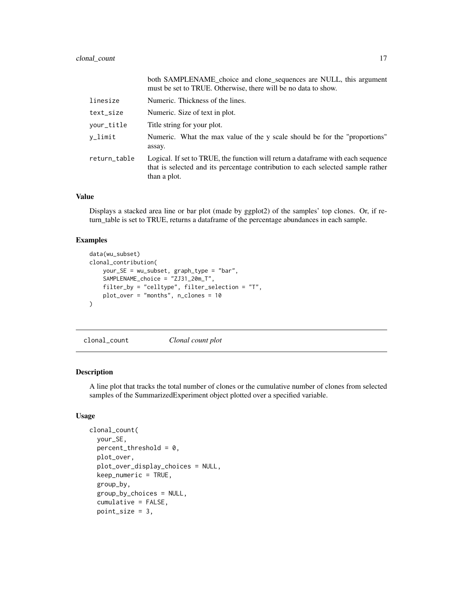<span id="page-16-0"></span>

|              | both SAMPLENAME choice and clone sequences are NULL, this argument<br>must be set to TRUE. Otherwise, there will be no data to show.                                                |
|--------------|-------------------------------------------------------------------------------------------------------------------------------------------------------------------------------------|
| linesize     | Numeric. Thickness of the lines.                                                                                                                                                    |
| text_size    | Numeric. Size of text in plot.                                                                                                                                                      |
| your_title   | Title string for your plot.                                                                                                                                                         |
| $v$ _limit   | Numeric. What the max value of the y scale should be for the "proportions"<br>assay.                                                                                                |
| return_table | Logical. If set to TRUE, the function will return a dataframe with each sequence<br>that is selected and its percentage contribution to each selected sample rather<br>than a plot. |

Displays a stacked area line or bar plot (made by ggplot2) of the samples' top clones. Or, if return\_table is set to TRUE, returns a dataframe of the percentage abundances in each sample.

### Examples

```
data(wu_subset)
clonal_contribution(
    your_SE = wu_subset, graph_type = "bar",
    SAMPLENAME_choice = "ZJ31_20m_T",
    filter_by = "celltype", filter_selection = "T",
   plot_over = "months", n_clones = 10
\mathcal{L}
```
clonal\_count *Clonal count plot*

### Description

A line plot that tracks the total number of clones or the cumulative number of clones from selected samples of the SummarizedExperiment object plotted over a specified variable.

```
clonal_count(
  your_SE,
  percent_{threshold} = 0,
 plot_over,
  plot_over_display_choices = NULL,
  keep_numeric = TRUE,
  group_by,
  group_by_choices = NULL,
  cumulative = FALSE,
  point_size = 3,
```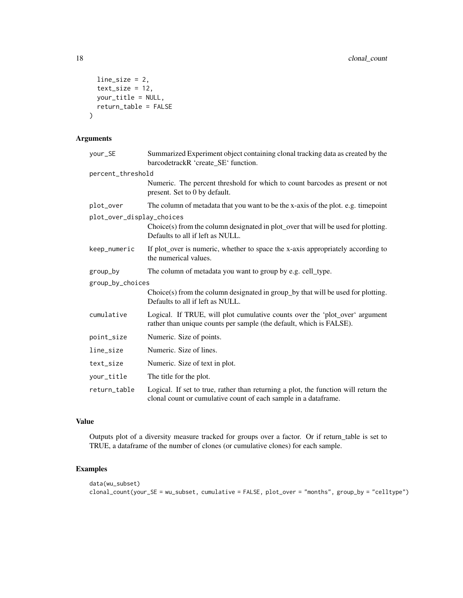```
line_size = 2,
 text_size = 12,your_title = NULL,
 return_table = FALSE
)
```

| your_SE                   | Summarized Experiment object containing clonal tracking data as created by the<br>barcodetrackR 'create_SE' function.                                  |  |
|---------------------------|--------------------------------------------------------------------------------------------------------------------------------------------------------|--|
| percent_threshold         |                                                                                                                                                        |  |
|                           | Numeric. The percent threshold for which to count barcodes as present or not<br>present. Set to 0 by default.                                          |  |
| plot_over                 | The column of metadata that you want to be the x-axis of the plot. e.g. timepoint                                                                      |  |
| plot_over_display_choices |                                                                                                                                                        |  |
|                           | Choice(s) from the column designated in plot_over that will be used for plotting.<br>Defaults to all if left as NULL.                                  |  |
| keep_numeric              | If plot_over is numeric, whether to space the x-axis appropriately according to<br>the numerical values.                                               |  |
| group_by                  | The column of metadata you want to group by e.g. cell_type.                                                                                            |  |
| group_by_choices          |                                                                                                                                                        |  |
|                           | Choice(s) from the column designated in group_by that will be used for plotting.<br>Defaults to all if left as NULL.                                   |  |
| cumulative                | Logical. If TRUE, will plot cumulative counts over the 'plot_over' argument<br>rather than unique counts per sample (the default, which is FALSE).     |  |
| point_size                | Numeric. Size of points.                                                                                                                               |  |
| line_size                 | Numeric. Size of lines.                                                                                                                                |  |
| text_size                 | Numeric. Size of text in plot.                                                                                                                         |  |
| your_title                | The title for the plot.                                                                                                                                |  |
| return_table              | Logical. If set to true, rather than returning a plot, the function will return the<br>clonal count or cumulative count of each sample in a dataframe. |  |

### Value

Outputs plot of a diversity measure tracked for groups over a factor. Or if return\_table is set to TRUE, a dataframe of the number of clones (or cumulative clones) for each sample.

### Examples

```
data(wu_subset)
clonal_count(your_SE = wu_subset, cumulative = FALSE, plot_over = "months", group_by = "celltype")
```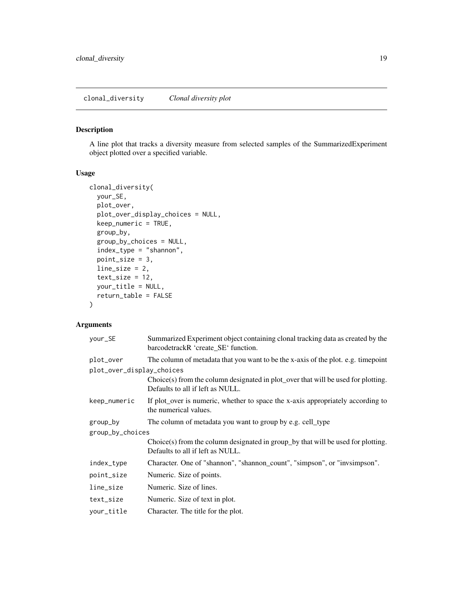### <span id="page-18-0"></span>Description

A line plot that tracks a diversity measure from selected samples of the SummarizedExperiment object plotted over a specified variable.

#### Usage

```
clonal_diversity(
 your_SE,
 plot_over,
 plot_over_display_choices = NULL,
  keep_numeric = TRUE,
  group_by,
  group_by_choices = NULL,
  index_type = "shannon",
  point_size = 3,
  line_size = 2,
  text_size = 12,
  your_title = NULL,
  return_table = FALSE
)
```

| your_SE                   | Summarized Experiment object containing clonal tracking data as created by the<br>barcodetrackR 'create_SE' function. |  |
|---------------------------|-----------------------------------------------------------------------------------------------------------------------|--|
| plot_over                 | The column of metadata that you want to be the x-axis of the plot. e.g. timepoint                                     |  |
| plot_over_display_choices |                                                                                                                       |  |
|                           | Choice(s) from the column designated in plot_over that will be used for plotting.<br>Defaults to all if left as NULL. |  |
| keep_numeric              | If plot_over is numeric, whether to space the x-axis appropriately according to<br>the numerical values.              |  |
| group_by                  | The column of metadata you want to group by e.g. cell_type                                                            |  |
| group_by_choices          |                                                                                                                       |  |
|                           | Choice(s) from the column designated in group_by that will be used for plotting.<br>Defaults to all if left as NULL.  |  |
| index_type                | Character. One of "shannon", "shannon_count", "simpson", or "invsimpson".                                             |  |
| point_size                | Numeric. Size of points.                                                                                              |  |
| line_size                 | Numeric. Size of lines.                                                                                               |  |
| text_size                 | Numeric. Size of text in plot.                                                                                        |  |
| your_title                | Character. The title for the plot.                                                                                    |  |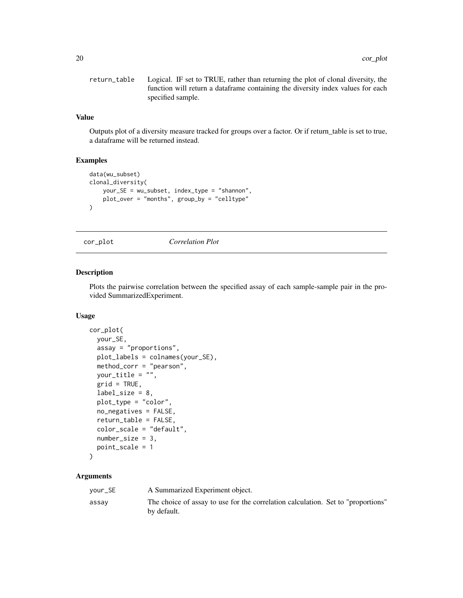```
return_table Logical. IF set to TRUE, rather than returning the plot of clonal diversity, the
                  function will return a dataframe containing the diversity index values for each
                  specified sample.
```
Outputs plot of a diversity measure tracked for groups over a factor. Or if return\_table is set to true, a dataframe will be returned instead.

### Examples

```
data(wu_subset)
clonal_diversity(
   your_SE = wu_subset, index_type = "shannon",
   plot_over = "months", group_by = "celltype"
)
```
cor\_plot *Correlation Plot*

#### Description

Plots the pairwise correlation between the specified assay of each sample-sample pair in the provided SummarizedExperiment.

### Usage

```
cor_plot(
 your_SE,
  assay = "proportions",
 plot_labels = colnames(your_SE),
 method_corr = "pearson",
 your_title = "",
  grid = TRUE,label\_size = 8,
 plot_type = "color",
  no_negatives = FALSE,
  return_table = FALSE,
  color_scale = "default",
  number\_size = 3,
 point_scale = 1
)
```

| your_SE | A Summarized Experiment object.                                                                 |
|---------|-------------------------------------------------------------------------------------------------|
| assay   | The choice of assay to use for the correlation calculation. Set to "proportions"<br>by default. |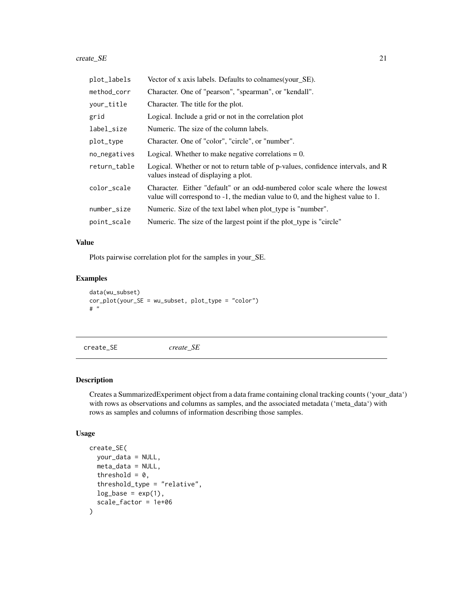#### <span id="page-20-0"></span> $\text{create\_SE}$  21

| plot_labels  | Vector of x axis labels. Defaults to colnames (your_SE).                                                                                                          |
|--------------|-------------------------------------------------------------------------------------------------------------------------------------------------------------------|
| method_corr  | Character. One of "pearson", "spearman", or "kendall".                                                                                                            |
| your_title   | Character. The title for the plot.                                                                                                                                |
| grid         | Logical. Include a grid or not in the correlation plot                                                                                                            |
| label_size   | Numeric. The size of the column labels.                                                                                                                           |
| plot_type    | Character. One of "color", "circle", or "number".                                                                                                                 |
| no_negatives | Logical. Whether to make negative correlations $= 0$ .                                                                                                            |
| return_table | Logical. Whether or not to return table of p-values, confidence intervals, and R<br>values instead of displaying a plot.                                          |
| color_scale  | Character. Either "default" or an odd-numbered color scale where the lowest<br>value will correspond to $-1$ , the median value to 0, and the highest value to 1. |
| number_size  | Numeric. Size of the text label when plot type is "number".                                                                                                       |
| point_scale  | Numeric. The size of the largest point if the plot_type is "circle"                                                                                               |

#### Value

Plots pairwise correlation plot for the samples in your\_SE.

### Examples

```
data(wu_subset)
cor_plot(your_SE = wu_subset, plot_type = "color")
# "
```
create\_SE *create\_SE*

### Description

Creates a SummarizedExperiment object from a data frame containing clonal tracking counts ('your\_data') with rows as observations and columns as samples, and the associated metadata ('meta\_data') with rows as samples and columns of information describing those samples.

```
create_SE(
  your_data = NULL,
  meta_data = NULL,
  threshold = 0,
  threshold_type = "relative",
  log\_base = exp(1),
  scale_factor = 1e+06
\mathcal{E}
```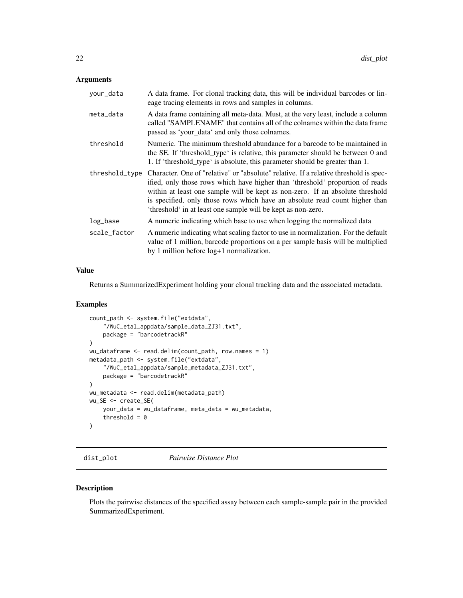<span id="page-21-0"></span>

| your_data      | A data frame. For clonal tracking data, this will be individual barcodes or lin-<br>eage tracing elements in rows and samples in columns.                                                                                                                                                                                                                                                              |
|----------------|--------------------------------------------------------------------------------------------------------------------------------------------------------------------------------------------------------------------------------------------------------------------------------------------------------------------------------------------------------------------------------------------------------|
| meta_data      | A data frame containing all meta-data. Must, at the very least, include a column<br>called "SAMPLENAME" that contains all of the colnames within the data frame<br>passed as 'your_data' and only those colnames.                                                                                                                                                                                      |
| threshold      | Numeric. The minimum threshold abundance for a barcode to be maintained in<br>the SE. If 'threshold_type' is relative, this parameter should be between 0 and<br>1. If 'threshold_type' is absolute, this parameter should be greater than 1.                                                                                                                                                          |
| threshold_type | Character. One of "relative" or "absolute" relative. If a relative threshold is spec-<br>ified, only those rows which have higher than 'threshold' proportion of reads<br>within at least one sample will be kept as non-zero. If an absolute threshold<br>is specified, only those rows which have an absolute read count higher than<br>'threshold' in at least one sample will be kept as non-zero. |
| log_base       | A numeric indicating which base to use when logging the normalized data                                                                                                                                                                                                                                                                                                                                |
| scale_factor   | A numeric indicating what scaling factor to use in normalization. For the default<br>value of 1 million, barcode proportions on a per sample basis will be multiplied<br>by 1 million before log+1 normalization.                                                                                                                                                                                      |

### Value

Returns a SummarizedExperiment holding your clonal tracking data and the associated metadata.

#### Examples

```
count_path <- system.file("extdata",
    "/WuC_etal_appdata/sample_data_ZJ31.txt",
   package = "barcodetrackR"
\lambdawu_dataframe <- read.delim(count_path, row.names = 1)
metadata_path <- system.file("extdata",
    "/WuC_etal_appdata/sample_metadata_ZJ31.txt",
   package = "barcodetrackR"
\lambdawu_metadata <- read.delim(metadata_path)
wu_SE <- create_SE(
   your_data = wu_dataframe, meta_data = wu_metadata,
   threshold = 0)
```
dist\_plot *Pairwise Distance Plot*

### Description

Plots the pairwise distances of the specified assay between each sample-sample pair in the provided SummarizedExperiment.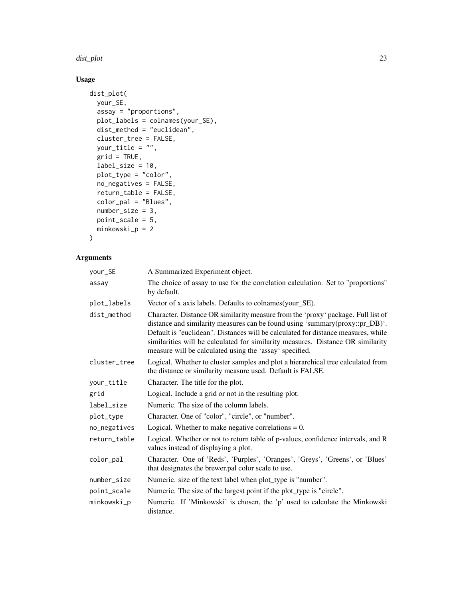#### dist\_plot 23

### Usage

```
dist_plot(
  your_SE,
  \overline{\text{assay}} = \text{"proportions",}plot_labels = colnames(your_SE),
  dist_method = "euclidean",
  cluster_tree = FALSE,
  your_title = "",
  grid = TRUE,label\_size = 10,plot_type = "color",
  no_negatives = FALSE,
  return_table = FALSE,
  color_pal = "Blues",
  number_size = 3,
  point_scale = 5,
  minkowski_p = 2\mathcal{L}
```

| your_SE      | A Summarized Experiment object.                                                                                                                                                                                                                                                                                                                                                                     |
|--------------|-----------------------------------------------------------------------------------------------------------------------------------------------------------------------------------------------------------------------------------------------------------------------------------------------------------------------------------------------------------------------------------------------------|
| assay        | The choice of assay to use for the correlation calculation. Set to "proportions"<br>by default.                                                                                                                                                                                                                                                                                                     |
| plot_labels  | Vector of x axis labels. Defaults to colnames (your_SE).                                                                                                                                                                                                                                                                                                                                            |
| dist_method  | Character. Distance OR similarity measure from the 'proxy' package. Full list of<br>distance and similarity measures can be found using 'summary(proxy::pr_DB)'.<br>Default is "euclidean". Distances will be calculated for distance measures, while<br>similarities will be calculated for similarity measures. Distance OR similarity<br>measure will be calculated using the 'assay' specified. |
| cluster_tree | Logical. Whether to cluster samples and plot a hierarchical tree calculated from<br>the distance or similarity measure used. Default is FALSE.                                                                                                                                                                                                                                                      |
| your_title   | Character. The title for the plot.                                                                                                                                                                                                                                                                                                                                                                  |
| grid         | Logical. Include a grid or not in the resulting plot.                                                                                                                                                                                                                                                                                                                                               |
| label_size   | Numeric. The size of the column labels.                                                                                                                                                                                                                                                                                                                                                             |
| plot_type    | Character. One of "color", "circle", or "number".                                                                                                                                                                                                                                                                                                                                                   |
| no_negatives | Logical. Whether to make negative correlations $= 0$ .                                                                                                                                                                                                                                                                                                                                              |
| return_table | Logical. Whether or not to return table of p-values, confidence intervals, and R<br>values instead of displaying a plot.                                                                                                                                                                                                                                                                            |
| color_pal    | Character. One of 'Reds', 'Purples', 'Oranges', 'Greys', 'Greens', or 'Blues'<br>that designates the brewer.pal color scale to use.                                                                                                                                                                                                                                                                 |
| number_size  | Numeric. size of the text label when plot_type is "number".                                                                                                                                                                                                                                                                                                                                         |
| point_scale  | Numeric. The size of the largest point if the plot_type is "circle".                                                                                                                                                                                                                                                                                                                                |
| minkowski_p  | Numeric. If 'Minkowski' is chosen, the 'p' used to calculate the Minkowski<br>distance.                                                                                                                                                                                                                                                                                                             |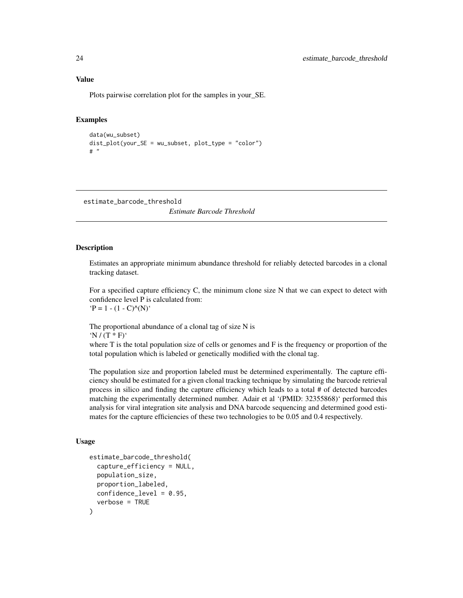Plots pairwise correlation plot for the samples in your\_SE.

### Examples

```
data(wu_subset)
dist_plot(your_SE = wu_subset, plot_type = "color")
# "
```
estimate\_barcode\_threshold

*Estimate Barcode Threshold*

#### Description

Estimates an appropriate minimum abundance threshold for reliably detected barcodes in a clonal tracking dataset.

For a specified capture efficiency C, the minimum clone size N that we can expect to detect with confidence level P is calculated from:  $P = 1 - (1 - C)^{\wedge}(N)^{T}$ 

The proportional abundance of a clonal tag of size N is  $'N / (T * F)'$ 

where T is the total population size of cells or genomes and F is the frequency or proportion of the total population which is labeled or genetically modified with the clonal tag.

The population size and proportion labeled must be determined experimentally. The capture efficiency should be estimated for a given clonal tracking technique by simulating the barcode retrieval process in silico and finding the capture efficiency which leads to a total # of detected barcodes matching the experimentally determined number. Adair et al '(PMID: 32355868)' performed this analysis for viral integration site analysis and DNA barcode sequencing and determined good estimates for the capture efficiencies of these two technologies to be 0.05 and 0.4 respectively.

```
estimate_barcode_threshold(
  capture_efficiency = NULL,
  population_size,
 proportion_labeled,
 confidence_level = 0.95,
  verbose = TRUE
)
```
<span id="page-23-0"></span>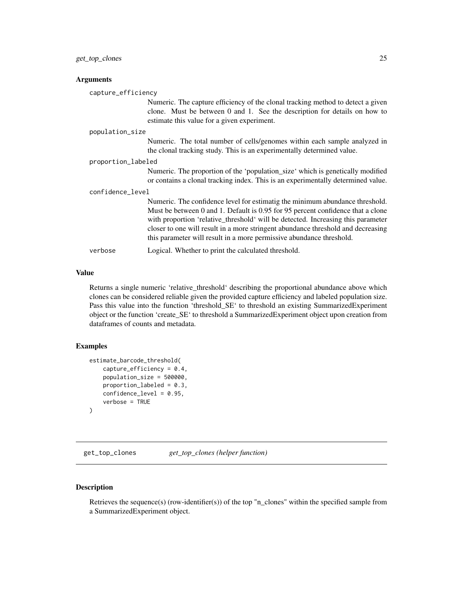<span id="page-24-0"></span>

|                  | capture_efficiency                                                                                                                                                                                                                                                                                                                                                                                              |  |  |
|------------------|-----------------------------------------------------------------------------------------------------------------------------------------------------------------------------------------------------------------------------------------------------------------------------------------------------------------------------------------------------------------------------------------------------------------|--|--|
|                  | Numeric. The capture efficiency of the clonal tracking method to detect a given<br>clone. Must be between 0 and 1. See the description for details on how to<br>estimate this value for a given experiment.                                                                                                                                                                                                     |  |  |
| population_size  |                                                                                                                                                                                                                                                                                                                                                                                                                 |  |  |
|                  | Numeric. The total number of cells/genomes within each sample analyzed in<br>the clonal tracking study. This is an experimentally determined value.                                                                                                                                                                                                                                                             |  |  |
|                  | proportion_labeled                                                                                                                                                                                                                                                                                                                                                                                              |  |  |
|                  | Numeric. The proportion of the 'population_size' which is genetically modified<br>or contains a clonal tracking index. This is an experimentally determined value.                                                                                                                                                                                                                                              |  |  |
| confidence_level |                                                                                                                                                                                                                                                                                                                                                                                                                 |  |  |
|                  | Numeric. The confidence level for estimatig the minimum abundance threshold.<br>Must be between 0 and 1. Default is 0.95 for 95 percent confidence that a clone<br>with proportion 'relative_threshold' will be detected. Increasing this parameter<br>closer to one will result in a more stringent abundance threshold and decreasing<br>this parameter will result in a more permissive abundance threshold. |  |  |
| verbose          | Logical. Whether to print the calculated threshold.                                                                                                                                                                                                                                                                                                                                                             |  |  |

#### Value

Returns a single numeric 'relative\_threshold' describing the proportional abundance above which clones can be considered reliable given the provided capture efficiency and labeled population size. Pass this value into the function 'threshold\_SE' to threshold an existing SummarizedExperiment object or the function 'create\_SE' to threshold a SummarizedExperiment object upon creation from dataframes of counts and metadata.

### Examples

```
estimate_barcode_threshold(
   capture_efficiency = 0.4,
   population_size = 500000,
   proportion_labeled = 0.3,
   confidence_level = 0.95,
   verbose = TRUE
)
```
get\_top\_clones *get\_top\_clones (helper function)*

### Description

Retrieves the sequence(s) (row-identifier(s)) of the top "n\_clones" within the specified sample from a SummarizedExperiment object.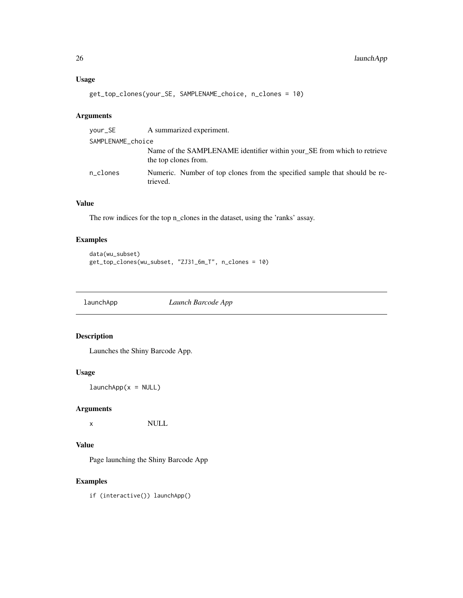### <span id="page-25-0"></span>Usage

```
get_top_clones(your_SE, SAMPLENAME_choice, n_clones = 10)
```
### Arguments

| vour_SE           | A summarized experiment.                                                                        |  |
|-------------------|-------------------------------------------------------------------------------------------------|--|
| SAMPLENAME_choice |                                                                                                 |  |
|                   | Name of the SAMPLENAME identifier within your SE from which to retrieve<br>the top clones from. |  |
| n_clones          | Numeric. Number of top clones from the specified sample that should be re-<br>trieved.          |  |

### Value

The row indices for the top n\_clones in the dataset, using the 'ranks' assay.

### Examples

```
data(wu_subset)
get_top_clones(wu_subset, "ZJ31_6m_T", n_clones = 10)
```
launchApp *Launch Barcode App*

### Description

Launches the Shiny Barcode App.

### Usage

 $l$ aunchApp( $x = NULL$ )

### Arguments

x NULL

### Value

Page launching the Shiny Barcode App

### Examples

if (interactive()) launchApp()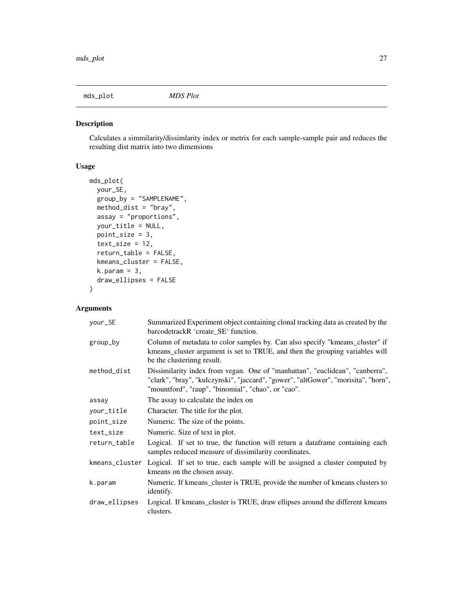<span id="page-26-0"></span>

### Description

Calculates a simmilarity/dissimlarity index or metrix for each sample-sample pair and reduces the resulting dist matrix into two dimensions

### Usage

```
mds_plot(
 your_SE,
  group_by = "SAMPLENAME",
 method_dist = "bray",
 assay = "proportions",
 your_title = NULL,
 point_size = 3,
  text\_size = 12,return_table = FALSE,
  kmeans_cluster = FALSE,
 k.param = 3,
  draw_ellipses = FALSE
)
```

| your_SE       | Summarized Experiment object containing clonal tracking data as created by the<br>barcodetrackR 'create_SE' function.                                                                                                    |
|---------------|--------------------------------------------------------------------------------------------------------------------------------------------------------------------------------------------------------------------------|
| group_by      | Column of metadata to color samples by. Can also specify "kmeans_cluster" if<br>kmeans_cluster argument is set to TRUE, and then the grouping variables will<br>be the clusterinng result.                               |
| method_dist   | Dissimilarity index from vegan. One of "manhattan", "euclidean", "canberra",<br>"clark", "bray", "kulczynski", "jaccard", "gower", "altGower", "morisita", "horn",<br>"mountford", "raup", "binomial", "chao", or "cao". |
| assay         | The assay to calculate the index on                                                                                                                                                                                      |
| your_title    | Character. The title for the plot.                                                                                                                                                                                       |
| point_size    | Numeric. The size of the points.                                                                                                                                                                                         |
| text_size     | Numeric. Size of text in plot.                                                                                                                                                                                           |
| return_table  | Logical. If set to true, the function will return a dataframe containing each<br>samples reduced measure of dissimilarity coordinates.                                                                                   |
|               | kmeans_cluster Logical. If set to true, each sample will be assigned a cluster computed by<br>kmeans on the chosen assay.                                                                                                |
| k.param       | Numeric. If kmeans_cluster is TRUE, provide the number of kmeans clusters to<br>identify.                                                                                                                                |
| draw_ellipses | Logical. If kmeans_cluster is TRUE, draw ellipses around the different kmeans<br>clusters.                                                                                                                               |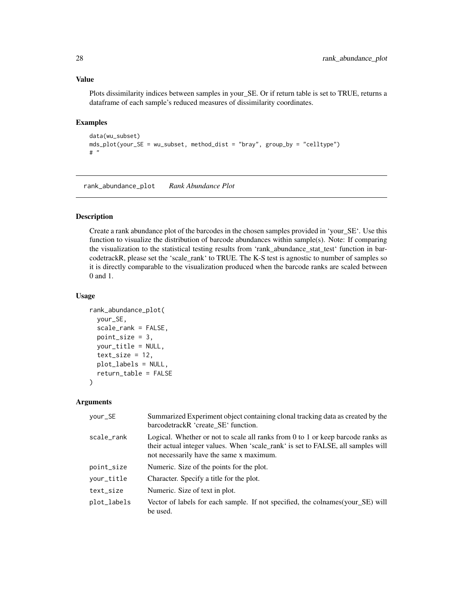<span id="page-27-0"></span>Plots dissimilarity indices between samples in your\_SE. Or if return table is set to TRUE, returns a dataframe of each sample's reduced measures of dissimilarity coordinates.

### Examples

```
data(wu_subset)
mds_plot(your_SE = wu_subset, method_dist = "bray", group_by = "celltype")
# "
```
rank\_abundance\_plot *Rank Abundance Plot*

### Description

Create a rank abundance plot of the barcodes in the chosen samples provided in 'your\_SE'. Use this function to visualize the distribution of barcode abundances within sample(s). Note: If comparing the visualization to the statistical testing results from 'rank\_abundance\_stat\_test' function in barcodetrackR, please set the 'scale\_rank' to TRUE. The K-S test is agnostic to number of samples so it is directly comparable to the visualization produced when the barcode ranks are scaled between 0 and 1.

### Usage

```
rank_abundance_plot(
 your_SE,
  scale_rank = FALSE,
 point_size = 3,
 your_title = NULL,
  text_size = 12,
 plot_labels = NULL,
  return_table = FALSE
)
```

| Summarized Experiment object containing clonal tracking data as created by the<br>barcodetrackR 'create SE' function.                                                                                           |
|-----------------------------------------------------------------------------------------------------------------------------------------------------------------------------------------------------------------|
| Logical. Whether or not to scale all ranks from 0 to 1 or keep barcode ranks as<br>their actual integer values. When 'scale_rank' is set to FALSE, all samples will<br>not necessarily have the same x maximum. |
| Numeric. Size of the points for the plot.                                                                                                                                                                       |
| Character. Specify a title for the plot.                                                                                                                                                                        |
| Numeric. Size of text in plot.                                                                                                                                                                                  |
| Vector of labels for each sample. If not specified, the colnames (your_SE) will<br>be used.                                                                                                                     |
|                                                                                                                                                                                                                 |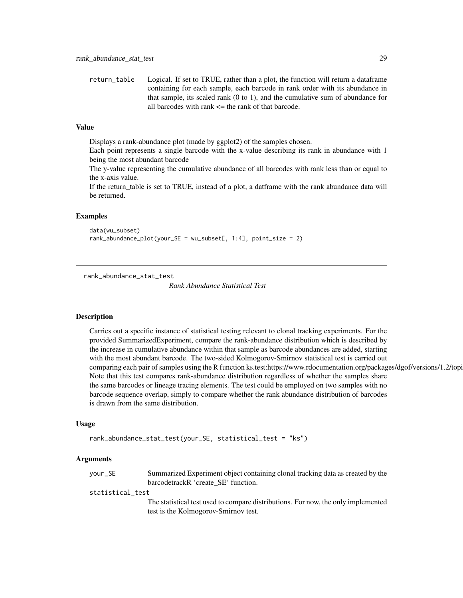<span id="page-28-0"></span>return\_table Logical. If set to TRUE, rather than a plot, the function will return a dataframe containing for each sample, each barcode in rank order with its abundance in that sample, its scaled rank (0 to 1), and the cumulative sum of abundance for all barcodes with rank  $\leq$  the rank of that barcode.

#### Value

Displays a rank-abundance plot (made by ggplot2) of the samples chosen.

Each point represents a single barcode with the x-value describing its rank in abundance with 1 being the most abundant barcode

The y-value representing the cumulative abundance of all barcodes with rank less than or equal to the x-axis value.

If the return\_table is set to TRUE, instead of a plot, a datframe with the rank abundance data will be returned.

### Examples

data(wu\_subset) rank\_abundance\_plot(your\_SE = wu\_subset[, 1:4], point\_size = 2)

rank\_abundance\_stat\_test

*Rank Abundance Statistical Test*

### **Description**

Carries out a specific instance of statistical testing relevant to clonal tracking experiments. For the provided SummarizedExperiment, compare the rank-abundance distribution which is described by the increase in cumulative abundance within that sample as barcode abundances are added, starting with the most abundant barcode. The two-sided Kolmogorov-Smirnov statistical test is carried out comparing each pair of samples using the R function ks.test:https://www.rdocumentation.org/packages/dgof/versions/1.2/topi Note that this test compares rank-abundance distribution regardless of whether the samples share the same barcodes or lineage tracing elements. The test could be employed on two samples with no barcode sequence overlap, simply to compare whether the rank abundance distribution of barcodes is drawn from the same distribution.

#### Usage

```
rank_abundance_stat_test(your_SE, statistical_test = "ks")
```

| vour_SE          | Summarized Experiment object containing clonal tracking data as created by the                                            |
|------------------|---------------------------------------------------------------------------------------------------------------------------|
|                  | barcodetrackR 'create SE' function.                                                                                       |
| statistical test |                                                                                                                           |
|                  | The statistical test used to compare distributions. For now, the only implemented<br>test is the Kolmogorov-Smirnov test. |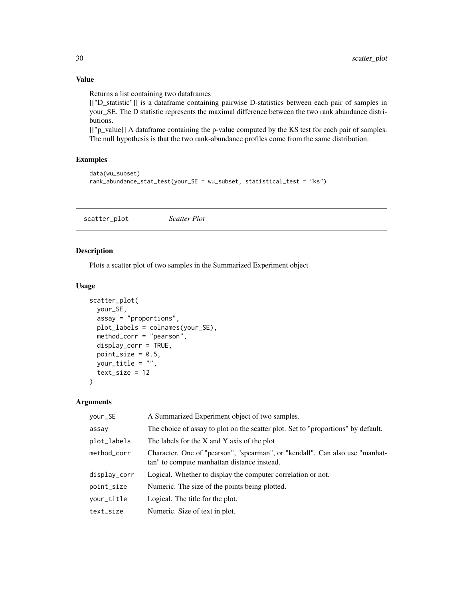Returns a list containing two dataframes

[["D\_statistic"]] is a dataframe containing pairwise D-statistics between each pair of samples in your\_SE. The D statistic represents the maximal difference between the two rank abundance distributions.

[["p\_value]] A dataframe containing the p-value computed by the KS test for each pair of samples. The null hypothesis is that the two rank-abundance profiles come from the same distribution.

### Examples

```
data(wu_subset)
rank_abundance_stat_test(your_SE = wu_subset, statistical_test = "ks")
```
scatter\_plot *Scatter Plot*

### Description

Plots a scatter plot of two samples in the Summarized Experiment object

### Usage

```
scatter_plot(
 your_SE,
 assay = "proportions",
 plot_labels = colnames(your_SE),
 method_corr = "pearson",
 display_corr = TRUE,
 point_size = 0.5,
 your_title = "",
  text_size = 12\mathcal{L}
```

| your_SE      | A Summarized Experiment object of two samples.                                                                              |
|--------------|-----------------------------------------------------------------------------------------------------------------------------|
| assay        | The choice of assay to plot on the scatter plot. Set to "proportions" by default.                                           |
| plot_labels  | The labels for the $X$ and $Y$ axis of the plot                                                                             |
| method_corr  | Character. One of "pearson", "spearman", or "kendall". Can also use "manhat-<br>tan" to compute manhattan distance instead. |
| display_corr | Logical. Whether to display the computer correlation or not.                                                                |
| point_size   | Numeric. The size of the points being plotted.                                                                              |
| your_title   | Logical. The title for the plot.                                                                                            |
| text_size    | Numeric. Size of text in plot.                                                                                              |

<span id="page-29-0"></span>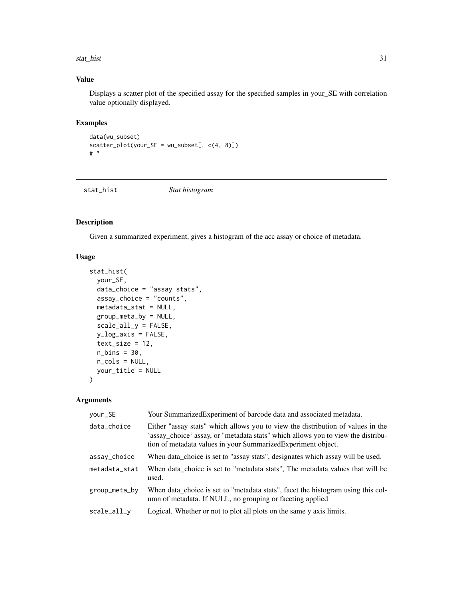#### <span id="page-30-0"></span>stat\_hist 31

### Value

Displays a scatter plot of the specified assay for the specified samples in your\_SE with correlation value optionally displayed.

### Examples

```
data(wu_subset)
scatter\_plot(your\_SE = wu\_subsetE, c(4, 8)])# "
```
stat\_hist *Stat histogram*

### Description

Given a summarized experiment, gives a histogram of the acc assay or choice of metadata.

### Usage

```
stat_hist(
 your_SE,
 data_choice = "assay stats",
  assay_choice = "counts",
 metadata_stat = NULL,
  group_meta_by = NULL,
  scale_all_y = FALSE,
 y_log_axis = FALSE,
  text_size = 12,n_{\text{bins}} = 30,
 n_cols = NULL,
 your_title = NULL
)
```

| your_SE       | Your Summarized Experiment of barcode data and associated metadata.                                                                                                                                                                  |
|---------------|--------------------------------------------------------------------------------------------------------------------------------------------------------------------------------------------------------------------------------------|
| data_choice   | Either "assay stats" which allows you to view the distribution of values in the<br>'assay_choice' assay, or "metadata stats" which allows you to view the distribu-<br>tion of metadata values in your Summarized Experiment object. |
| assay_choice  | When data_choice is set to "assay stats", designates which assay will be used.                                                                                                                                                       |
| metadata_stat | When data_choice is set to "metadata stats", The metadata values that will be<br>used.                                                                                                                                               |
| group_meta_by | When data_choice is set to "metadata stats", facet the histogram using this col-<br>umn of metadata. If NULL, no grouping or faceting applied                                                                                        |
| scale_all_y   | Logical. Whether or not to plot all plots on the same y axis limits.                                                                                                                                                                 |
|               |                                                                                                                                                                                                                                      |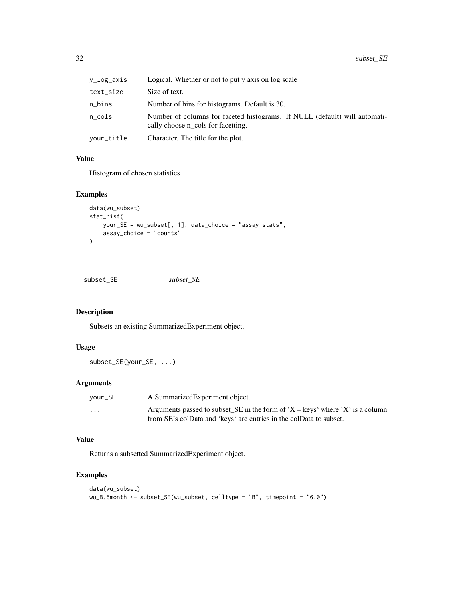<span id="page-31-0"></span>

| y_log_axis | Logical. Whether or not to put y axis on log scale                                                               |
|------------|------------------------------------------------------------------------------------------------------------------|
| text_size  | Size of text.                                                                                                    |
| n_bins     | Number of bins for histograms. Default is 30.                                                                    |
| n_cols     | Number of columns for faceted histograms. If NULL (default) will automati-<br>cally choose n_cols for facetting. |
| your_title | Character. The title for the plot.                                                                               |

Histogram of chosen statistics

### Examples

```
data(wu_subset)
stat_hist(
    your_SE = wu_subset[, 1], data_choice = "assay stats",
    assay_choice = "counts"
\mathcal{L}
```
subset\_SE *subset\_SE*

### Description

Subsets an existing SummarizedExperiment object.

### Usage

subset\_SE(your\_SE, ...)

### Arguments

| vour_SE  | A Summarized Experiment object.                                                                                                                     |
|----------|-----------------------------------------------------------------------------------------------------------------------------------------------------|
| $\cdots$ | Arguments passed to subset_SE in the form of 'X = keys' where 'X' is a column<br>from SE's colData and 'keys' are entries in the colData to subset. |
|          |                                                                                                                                                     |

### Value

Returns a subsetted SummarizedExperiment object.

### Examples

```
data(wu_subset)
wu_B.5month <- subset_SE(wu_subset, celltype = "B", timepoint = "6.0")
```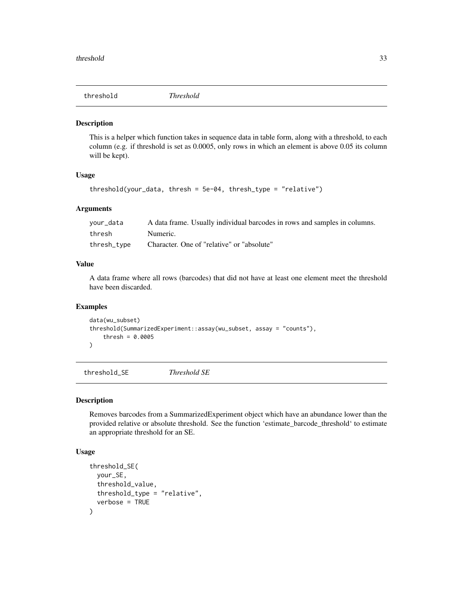<span id="page-32-0"></span>threshold *Threshold*

#### Description

This is a helper which function takes in sequence data in table form, along with a threshold, to each column (e.g. if threshold is set as 0.0005, only rows in which an element is above 0.05 its column will be kept).

### Usage

```
threshold(your_data, thresh = 5e-04, thresh_type = "relative")
```
#### Arguments

| vour_data   | A data frame. Usually individual barcodes in rows and samples in columns. |
|-------------|---------------------------------------------------------------------------|
| thresh      | Numeric.                                                                  |
| thresh_type | Character. One of "relative" or "absolute"                                |

### Value

A data frame where all rows (barcodes) that did not have at least one element meet the threshold have been discarded.

### Examples

```
data(wu_subset)
threshold(SummarizedExperiment::assay(wu_subset, assay = "counts"),
    thresh = 0.0005\mathcal{L}
```
threshold\_SE *Threshold SE*

#### Description

Removes barcodes from a SummarizedExperiment object which have an abundance lower than the provided relative or absolute threshold. See the function 'estimate\_barcode\_threshold' to estimate an appropriate threshold for an SE.

```
threshold_SE(
 your_SE,
  threshold_value,
  threshold_type = "relative",
  verbose = TRUE
)
```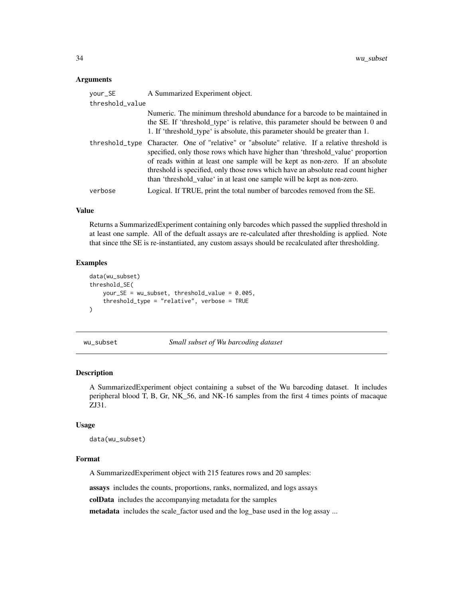<span id="page-33-0"></span>

| your_SE         | A Summarized Experiment object.                                                                                                                                                                                                                                                                                                                                                                                                 |
|-----------------|---------------------------------------------------------------------------------------------------------------------------------------------------------------------------------------------------------------------------------------------------------------------------------------------------------------------------------------------------------------------------------------------------------------------------------|
| threshold_value |                                                                                                                                                                                                                                                                                                                                                                                                                                 |
|                 | Numeric. The minimum threshold abundance for a barcode to be maintained in<br>the SE. If 'threshold_type' is relative, this parameter should be between 0 and<br>1. If 'threshold_type' is absolute, this parameter should be greater than 1.                                                                                                                                                                                   |
|                 | threshold_type Character. One of "relative" or "absolute" relative. If a relative threshold is<br>specified, only those rows which have higher than 'threshold_value' proportion<br>of reads within at least one sample will be kept as non-zero. If an absolute<br>threshold is specified, only those rows which have an absolute read count higher<br>than 'threshold_value' in at least one sample will be kept as non-zero. |
| verbose         | Logical. If TRUE, print the total number of barcodes removed from the SE.                                                                                                                                                                                                                                                                                                                                                       |
|                 |                                                                                                                                                                                                                                                                                                                                                                                                                                 |

#### Value

Returns a SummarizedExperiment containing only barcodes which passed the supplied threshold in at least one sample. All of the defualt assays are re-calculated after thresholding is applied. Note that since tthe SE is re-instantiated, any custom assays should be recalculated after thresholding.

### Examples

```
data(wu_subset)
threshold_SE(
    your_SE = wu_subset, threshold_value = 0.005,
    threshold_type = "relative", verbose = TRUE
\mathcal{L}
```
wu\_subset *Small subset of Wu barcoding dataset*

### Description

A SummarizedExperiment object containing a subset of the Wu barcoding dataset. It includes peripheral blood T, B, Gr, NK\_56, and NK-16 samples from the first 4 times points of macaque ZJ31.

#### Usage

```
data(wu_subset)
```
### Format

A SummarizedExperiment object with 215 features rows and 20 samples:

assays includes the counts, proportions, ranks, normalized, and logs assays

colData includes the accompanying metadata for the samples

metadata includes the scale\_factor used and the log\_base used in the log assay ...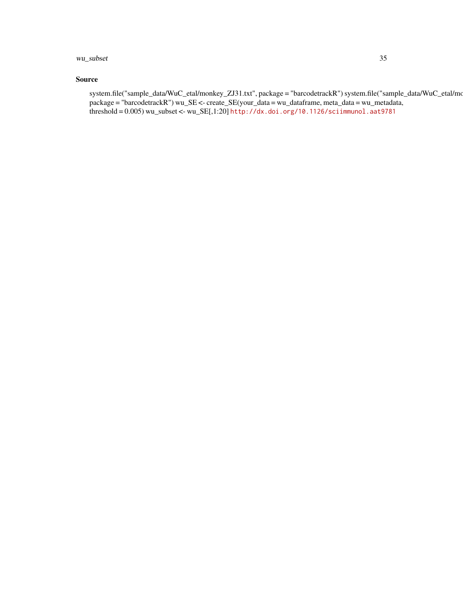### wu\_subset 35

### Source

system.file("sample\_data/WuC\_etal/monkey\_ZJ31.txt", package = "barcodetrackR") system.file("sample\_data/WuC\_etal/mo package = "barcodetrackR") wu\_SE <- create\_SE(your\_data = wu\_dataframe, meta\_data = wu\_metadata, threshold = 0.005) wu\_subset <- wu\_SE[,1:20] <http://dx.doi.org/10.1126/sciimmunol.aat9781>